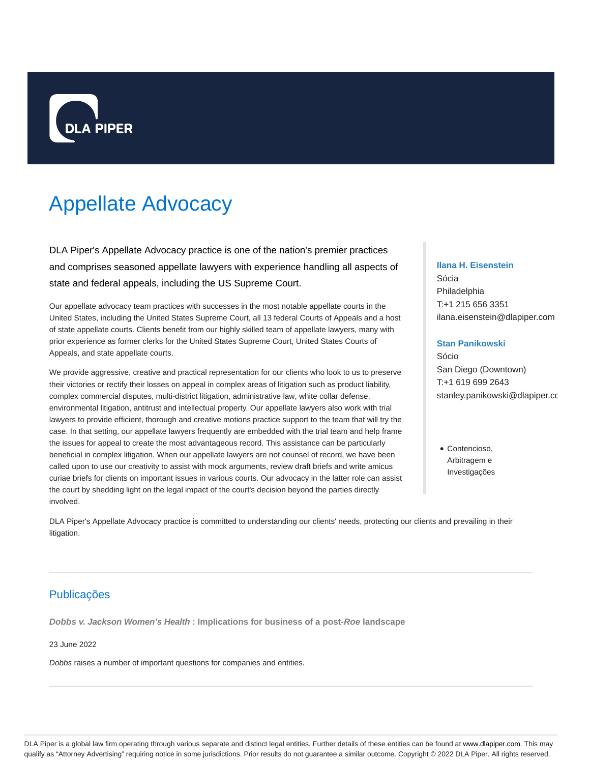

# Appellate Advocacy

DLA Piper's Appellate Advocacy practice is one of the nation's premier practices and comprises seasoned appellate lawyers with experience handling all aspects of state and federal appeals, including the US Supreme Court.

Our appellate advocacy team practices with successes in the most notable appellate courts in the United States, including the United States Supreme Court, all 13 federal Courts of Appeals and a host of state appellate courts. Clients benefit from our highly skilled team of appellate lawyers, many with prior experience as former clerks for the United States Supreme Court, United States Courts of Appeals, and state appellate courts.

We provide aggressive, creative and practical representation for our clients who look to us to preserve their victories or rectify their losses on appeal in complex areas of litigation such as product liability, complex commercial disputes, multi-district litigation, administrative law, white collar defense, environmental litigation, antitrust and intellectual property. Our appellate lawyers also work with trial lawyers to provide efficient, thorough and creative motions practice support to the team that will try the case. In that setting, our appellate lawyers frequently are embedded with the trial team and help frame the issues for appeal to create the most advantageous record. This assistance can be particularly beneficial in complex litigation. When our appellate lawyers are not counsel of record, we have been called upon to use our creativity to assist with mock arguments, review draft briefs and write amicus curiae briefs for clients on important issues in various courts. Our advocacy in the latter role can assist the court by shedding light on the legal impact of the court's decision beyond the parties directly involved.

## **Ilana H. Eisenstein**

Sócia Philadelphia T:+1 215 656 3351 ilana.eisenstein@dlapiper.com

## **Stan Panikowski**

Sócio San Diego (Downtown) T:+1 619 699 2643 stanley.panikowski@dlapiper.cc

Contencioso, Arbitragem e Investigações

DLA Piper's Appellate Advocacy practice is committed to understanding our clients' needs, protecting our clients and prevailing in their litigation.

## Publicações

**Dobbs v. Jackson Women's Health : Implications for business of a post-Roe landscape**

## 23 June 2022

Dobbs raises a number of important questions for companies and entities.

DLA Piper is a global law firm operating through various separate and distinct legal entities. Further details of these entities can be found at www.dlapiper.com. This may qualify as "Attorney Advertising" requiring notice in some jurisdictions. Prior results do not guarantee a similar outcome. Copyright @ 2022 DLA Piper. All rights reserved.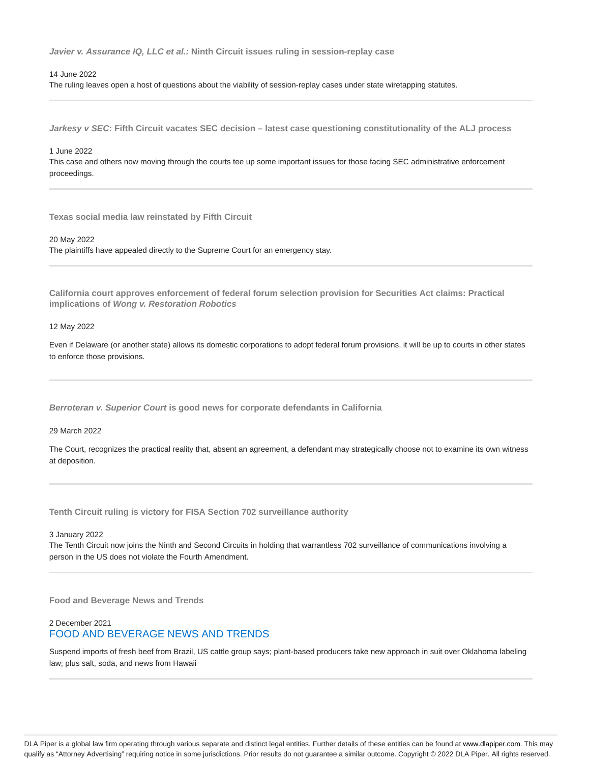**Javier v. Assurance IQ, LLC et al.: Ninth Circuit issues ruling in session-replay case**

14 June 2022

The ruling leaves open a host of questions about the viability of session-replay cases under state wiretapping statutes.

**Jarkesy v SEC: Fifth Circuit vacates SEC decision – latest case questioning constitutionality of the ALJ process**

#### 1 June 2022

This case and others now moving through the courts tee up some important issues for those facing SEC administrative enforcement proceedings.

**Texas social media law reinstated by Fifth Circuit**

20 May 2022

The plaintiffs have appealed directly to the Supreme Court for an emergency stay.

**California court approves enforcement of federal forum selection provision for Securities Act claims: Practical implications of Wong v. Restoration Robotics**

#### 12 May 2022

Even if Delaware (or another state) allows its domestic corporations to adopt federal forum provisions, it will be up to courts in other states to enforce those provisions.

**Berroteran v. Superior Court is good news for corporate defendants in California**

29 March 2022

The Court, recognizes the practical reality that, absent an agreement, a defendant may strategically choose not to examine its own witness at deposition.

**Tenth Circuit ruling is victory for FISA Section 702 surveillance authority**

#### 3 January 2022

The Tenth Circuit now joins the Ninth and Second Circuits in holding that warrantless 702 surveillance of communications involving a person in the US does not violate the Fourth Amendment.

**Food and Beverage News and Trends**

## 2 December 2021 FOOD AND BEVERAGE NEWS AND TRENDS

Suspend imports of fresh beef from Brazil, US cattle group says; plant-based producers take new approach in suit over Oklahoma labeling law; plus salt, soda, and news from Hawaii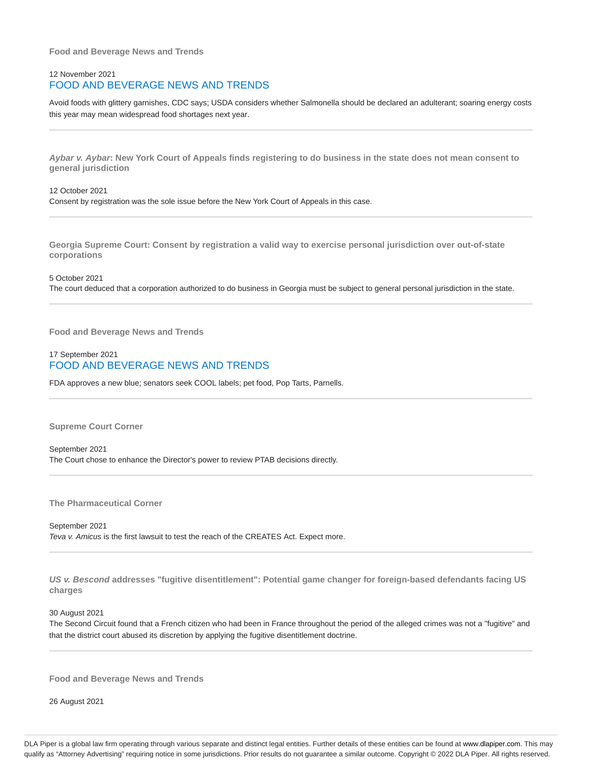**Food and Beverage News and Trends**

## 12 November 2021 FOOD AND BEVERAGE NEWS AND TRENDS

Avoid foods with glittery garnishes, CDC says; USDA considers whether Salmonella should be declared an adulterant; soaring energy costs this year may mean widespread food shortages next year.

**Aybar v. Aybar: New York Court of Appeals finds registering to do business in the state does not mean consent to general jurisdiction**

12 October 2021 Consent by registration was the sole issue before the New York Court of Appeals in this case.

**Georgia Supreme Court: Consent by registration a valid way to exercise personal jurisdiction over out-of-state corporations**

5 October 2021 The court deduced that a corporation authorized to do business in Georgia must be subject to general personal jurisdiction in the state.

**Food and Beverage News and Trends**

## 17 September 2021 FOOD AND BEVERAGE NEWS AND TRENDS

FDA approves a new blue; senators seek COOL labels; pet food, Pop Tarts, Parnells.

**Supreme Court Corner**

September 2021 The Court chose to enhance the Director's power to review PTAB decisions directly.

**The Pharmaceutical Corner**

September 2021 Teva v. Amicus is the first lawsuit to test the reach of the CREATES Act. Expect more.

**US v. Bescond addresses "fugitive disentitlement": Potential game changer for foreign-based defendants facing US charges**

30 August 2021

The Second Circuit found that a French citizen who had been in France throughout the period of the alleged crimes was not a "fugitive" and that the district court abused its discretion by applying the fugitive disentitlement doctrine.

**Food and Beverage News and Trends**

26 August 2021

DLA Piper is a global law firm operating through various separate and distinct legal entities. Further details of these entities can be found at www.dlapiper.com. This may qualify as "Attorney Advertising" requiring notice in some jurisdictions. Prior results do not guarantee a similar outcome. Copyright @ 2022 DLA Piper. All rights reserved.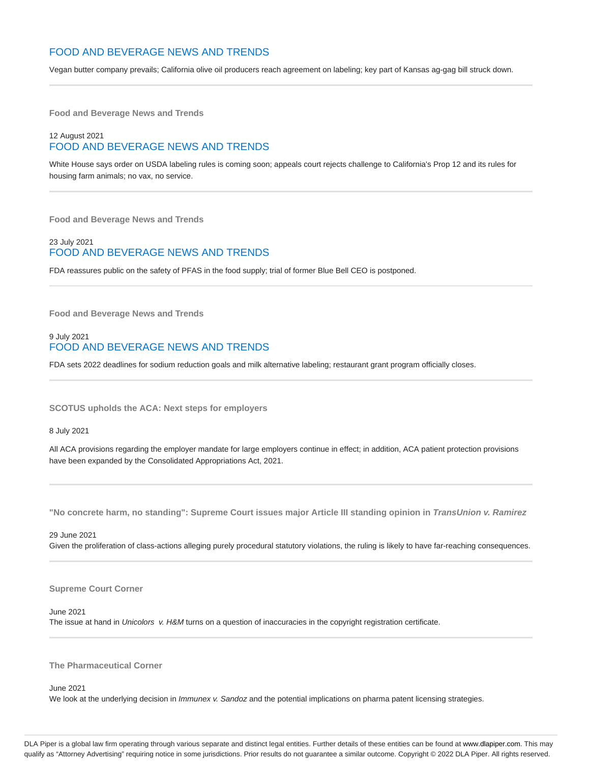## FOOD AND BEVERAGE NEWS AND TRENDS

Vegan butter company prevails; California olive oil producers reach agreement on labeling; key part of Kansas ag-gag bill struck down.

**Food and Beverage News and Trends**

## 12 August 2021 FOOD AND BEVERAGE NEWS AND TRENDS

White House says order on USDA labeling rules is coming soon; appeals court rejects challenge to California's Prop 12 and its rules for housing farm animals; no vax, no service.

**Food and Beverage News and Trends**

## 23 July 2021 FOOD AND BEVERAGE NEWS AND TRENDS

FDA reassures public on the safety of PFAS in the food supply; trial of former Blue Bell CEO is postponed.

**Food and Beverage News and Trends**

## 9 July 2021 FOOD AND BEVERAGE NEWS AND TRENDS

FDA sets 2022 deadlines for sodium reduction goals and milk alternative labeling; restaurant grant program officially closes.

**SCOTUS upholds the ACA: Next steps for employers**

8 July 2021

All ACA provisions regarding the employer mandate for large employers continue in effect; in addition, ACA patient protection provisions have been expanded by the Consolidated Appropriations Act, 2021.

**"No concrete harm, no standing": Supreme Court issues major Article III standing opinion in TransUnion v. Ramirez**

29 June 2021 Given the proliferation of class-actions alleging purely procedural statutory violations, the ruling is likely to have far-reaching consequences.

#### **Supreme Court Corner**

June 2021 The issue at hand in Unicolors v. H&M turns on a question of inaccuracies in the copyright registration certificate.

**The Pharmaceutical Corner**

June 2021

We look at the underlying decision in *Immunex v. Sandoz* and the potential implications on pharma patent licensing strategies.

DLA Piper is a global law firm operating through various separate and distinct legal entities. Further details of these entities can be found at www.dlapiper.com. This may qualify as "Attorney Advertising" requiring notice in some jurisdictions. Prior results do not guarantee a similar outcome. Copyright © 2022 DLA Piper. All rights reserved.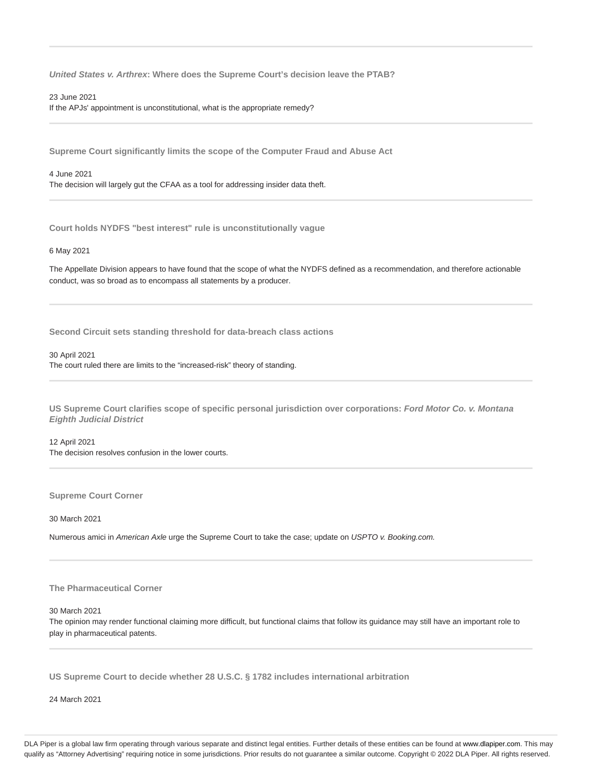**United States v. Arthrex: Where does the Supreme Court's decision leave the PTAB?**

23 June 2021

If the APJs' appointment is unconstitutional, what is the appropriate remedy?

**Supreme Court significantly limits the scope of the Computer Fraud and Abuse Act**

#### 4 June 2021

The decision will largely gut the CFAA as a tool for addressing insider data theft.

**Court holds NYDFS "best interest" rule is unconstitutionally vague**

## 6 May 2021

The Appellate Division appears to have found that the scope of what the NYDFS defined as a recommendation, and therefore actionable conduct, was so broad as to encompass all statements by a producer.

**Second Circuit sets standing threshold for data-breach class actions**

## 30 April 2021

The court ruled there are limits to the "increased-risk" theory of standing.

**US Supreme Court clarifies scope of specific personal jurisdiction over corporations: Ford Motor Co. v. Montana Eighth Judicial District**

12 April 2021 The decision resolves confusion in the lower courts.

**Supreme Court Corner**

30 March 2021

Numerous amici in American Axle urge the Supreme Court to take the case; update on USPTO v. Booking.com.

## **The Pharmaceutical Corner**

#### 30 March 2021

The opinion may render functional claiming more difficult, but functional claims that follow its guidance may still have an important role to play in pharmaceutical patents.

**US Supreme Court to decide whether 28 U.S.C. § 1782 includes international arbitration**

24 March 2021

DLA Piper is a global law firm operating through various separate and distinct legal entities. Further details of these entities can be found at www.dlapiper.com. This may qualify as "Attorney Advertising" requiring notice in some jurisdictions. Prior results do not guarantee a similar outcome. Copyright © 2022 DLA Piper. All rights reserved.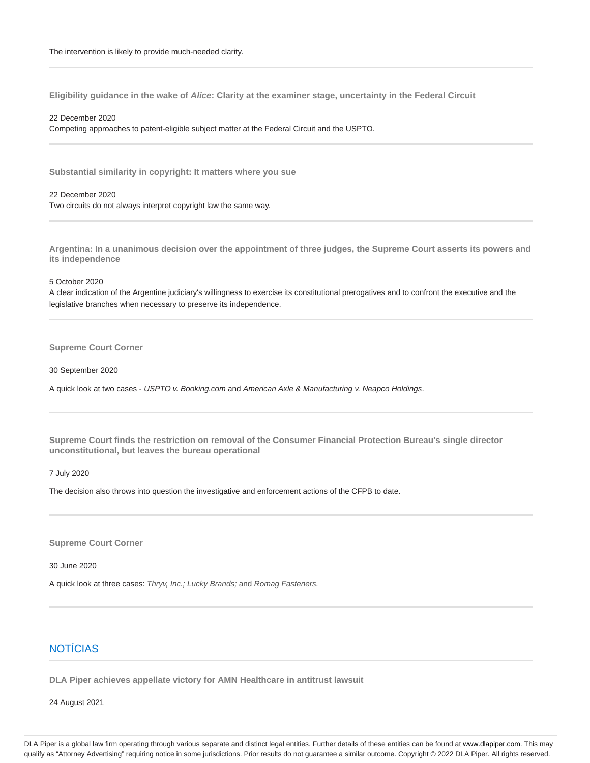**Eligibility guidance in the wake of Alice: Clarity at the examiner stage, uncertainty in the Federal Circuit**

## 22 December 2020

Competing approaches to patent-eligible subject matter at the Federal Circuit and the USPTO.

**Substantial similarity in copyright: It matters where you sue**

22 December 2020 Two circuits do not always interpret copyright law the same way.

**Argentina: In a unanimous decision over the appointment of three judges, the Supreme Court asserts its powers and its independence**

5 October 2020

A clear indication of the Argentine judiciary's willingness to exercise its constitutional prerogatives and to confront the executive and the legislative branches when necessary to preserve its independence.

**Supreme Court Corner**

30 September 2020

A quick look at two cases - USPTO v. Booking.com and American Axle & Manufacturing v. Neapco Holdings.

**Supreme Court finds the restriction on removal of the Consumer Financial Protection Bureau's single director unconstitutional, but leaves the bureau operational**

7 July 2020

The decision also throws into question the investigative and enforcement actions of the CFPB to date.

**Supreme Court Corner**

30 June 2020

A quick look at three cases: Thryv, Inc.; Lucky Brands; and Romag Fasteners.

## NOTÍCIAS

**DLA Piper achieves appellate victory for AMN Healthcare in antitrust lawsuit**

24 August 2021

DLA Piper is a global law firm operating through various separate and distinct legal entities. Further details of these entities can be found at www.dlapiper.com. This may qualify as "Attorney Advertising" requiring notice in some jurisdictions. Prior results do not guarantee a similar outcome. Copyright @ 2022 DLA Piper. All rights reserved.